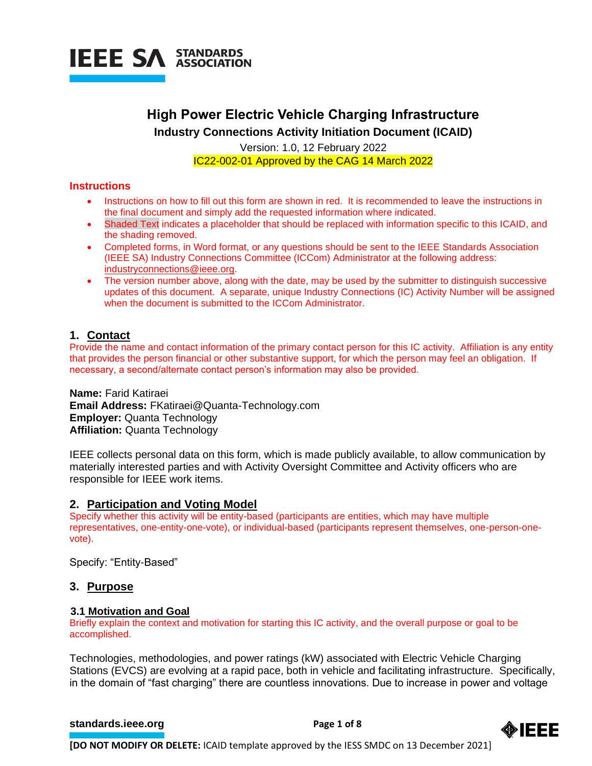

# **High Power Electric Vehicle Charging Infrastructure Industry Connections Activity Initiation Document (ICAID)**

Version: 1.0, 12 February 2022 IC22-002-01 Approved by the CAG 14 March 2022

# **Instructions**

- Instructions on how to fill out this form are shown in red. It is recommended to leave the instructions in the final document and simply add the requested information where indicated.
- Shaded Text indicates a placeholder that should be replaced with information specific to this ICAID, and the shading removed.
- Completed forms, in Word format, or any questions should be sent to the IEEE Standards Association (IEEE SA) Industry Connections Committee (ICCom) Administrator at the following address: [industryconnections@ieee.org.](mailto:industryconnections@ieee.org)
- The version number above, along with the date, may be used by the submitter to distinguish successive updates of this document. A separate, unique Industry Connections (IC) Activity Number will be assigned when the document is submitted to the ICCom Administrator.

# **1. Contact**

Provide the name and contact information of the primary contact person for this IC activity. Affiliation is any entity that provides the person financial or other substantive support, for which the person may feel an obligation. If necessary, a second/alternate contact person's information may also be provided.

**Name:** Farid Katiraei **Email Address:** FKatiraei@Quanta-Technology.com **Employer:** Quanta Technology **Affiliation:** Quanta Technology

IEEE collects personal data on this form, which is made publicly available, to allow communication by materially interested parties and with Activity Oversight Committee and Activity officers who are responsible for IEEE work items.

# **2. Participation and Voting Model**

Specify whether this activity will be entity-based (participants are entities, which may have multiple representatives, one-entity-one-vote), or individual-based (participants represent themselves, one-person-onevote).

Specify: "Entity-Based"

### **3. Purpose**

### **3.1 Motivation and Goal**

Briefly explain the context and motivation for starting this IC activity, and the overall purpose or goal to be accomplished.

Technologies, methodologies, and power ratings (kW) associated with Electric Vehicle Charging Stations (EVCS) are evolving at a rapid pace, both in vehicle and facilitating infrastructure. Specifically, in the domain of "fast charging" there are countless innovations. Due to increase in power and voltage

### **[standards.ieee.org](http://standards.ieee.org/) EXECUTE: Page 1 of 8**

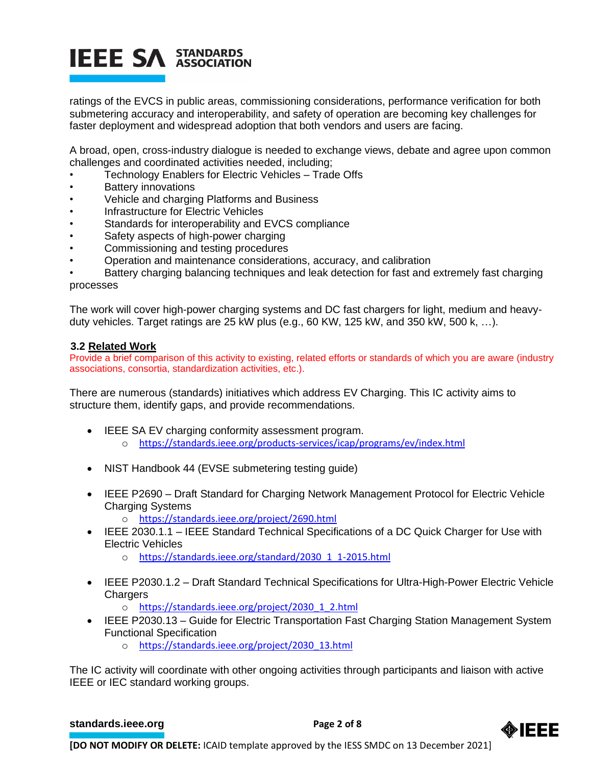# **IEEE SA STANDARDS**

ratings of the EVCS in public areas, commissioning considerations, performance verification for both submetering accuracy and interoperability, and safety of operation are becoming key challenges for faster deployment and widespread adoption that both vendors and users are facing.

A broad, open, cross-industry dialogue is needed to exchange views, debate and agree upon common challenges and coordinated activities needed, including;

- Technology Enablers for Electric Vehicles Trade Offs
- **Battery innovations**
- Vehicle and charging Platforms and Business
- Infrastructure for Electric Vehicles
- Standards for interoperability and EVCS compliance
- Safety aspects of high-power charging
- Commissioning and testing procedures
- Operation and maintenance considerations, accuracy, and calibration

Battery charging balancing techniques and leak detection for fast and extremely fast charging processes

The work will cover high-power charging systems and DC fast chargers for light, medium and heavyduty vehicles. Target ratings are 25 kW plus (e.g., 60 KW, 125 kW, and 350 kW, 500 k, …).

# **3.2 Related Work**

Provide a brief comparison of this activity to existing, related efforts or standards of which you are aware (industry associations, consortia, standardization activities, etc.).

There are numerous (standards) initiatives which address EV Charging. This IC activity aims to structure them, identify gaps, and provide recommendations.

- IEEE SA EV charging conformity assessment program.
	- o <https://standards.ieee.org/products-services/icap/programs/ev/index.html>
- NIST Handbook 44 (EVSE submetering testing guide)
- IEEE P2690 Draft Standard for Charging Network Management Protocol for Electric Vehicle Charging Systems
	- o <https://standards.ieee.org/project/2690.html>
- IEEE 2030.1.1 IEEE Standard Technical Specifications of a DC Quick Charger for Use with Electric Vehicles
	- o [https://standards.ieee.org/standard/2030\\_1\\_1-2015.html](https://standards.ieee.org/standard/2030_1_1-2015.html)
- IEEE P2030.1.2 Draft Standard Technical Specifications for Ultra-High-Power Electric Vehicle **Chargers** 
	- o [https://standards.ieee.org/project/2030\\_1\\_2.html](https://standards.ieee.org/project/2030_1_2.html)
- IEEE P2030.13 Guide for Electric Transportation Fast Charging Station Management System Functional Specification
	- o [https://standards.ieee.org/project/2030\\_13.html](https://standards.ieee.org/project/2030_13.html)

The IC activity will coordinate with other ongoing activities through participants and liaison with active IEEE or IEC standard working groups.

#### **[standards.ieee.org](http://standards.ieee.org/)**<br> **Page 2 of 8**

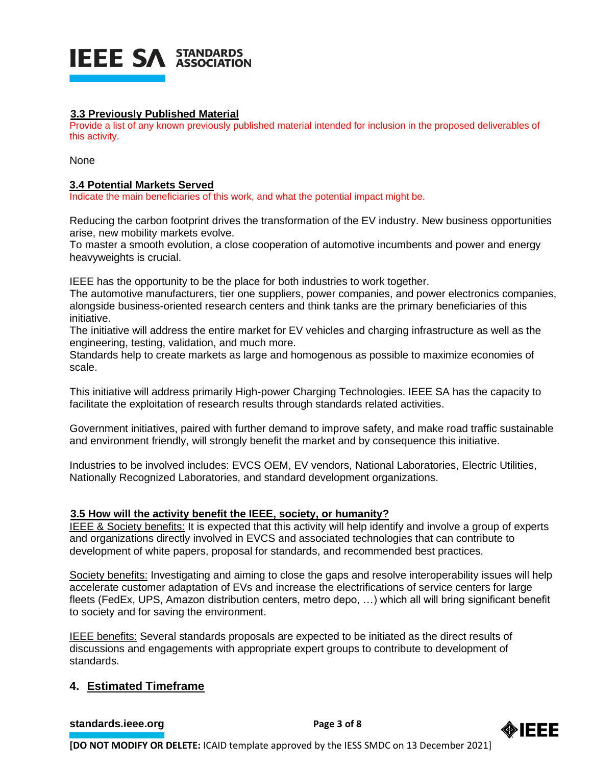

# **3.3 Previously Published Material**

Provide a list of any known previously published material intended for inclusion in the proposed deliverables of this activity.

None

# **3.4 Potential Markets Served**

Indicate the main beneficiaries of this work, and what the potential impact might be.

Reducing the carbon footprint drives the transformation of the EV industry. New business opportunities arise, new mobility markets evolve.

To master a smooth evolution, a close cooperation of automotive incumbents and power and energy heavyweights is crucial.

IEEE has the opportunity to be the place for both industries to work together.

The automotive manufacturers, tier one suppliers, power companies, and power electronics companies, alongside business-oriented research centers and think tanks are the primary beneficiaries of this initiative.

The initiative will address the entire market for EV vehicles and charging infrastructure as well as the engineering, testing, validation, and much more.

Standards help to create markets as large and homogenous as possible to maximize economies of scale.

This initiative will address primarily High-power Charging Technologies. IEEE SA has the capacity to facilitate the exploitation of research results through standards related activities.

Government initiatives, paired with further demand to improve safety, and make road traffic sustainable and environment friendly, will strongly benefit the market and by consequence this initiative.

Industries to be involved includes: EVCS OEM, EV vendors, National Laboratories, Electric Utilities, Nationally Recognized Laboratories, and standard development organizations.

# **3.5 How will the activity benefit the IEEE, society, or humanity?**

IEEE & Society benefits: It is expected that this activity will help identify and involve a group of experts and organizations directly involved in EVCS and associated technologies that can contribute to development of white papers, proposal for standards, and recommended best practices.

Society benefits: Investigating and aiming to close the gaps and resolve interoperability issues will help accelerate customer adaptation of EVs and increase the electrifications of service centers for large fleets (FedEx, UPS, Amazon distribution centers, metro depo, …) which all will bring significant benefit to society and for saving the environment.

IEEE benefits: Several standards proposals are expected to be initiated as the direct results of discussions and engagements with appropriate expert groups to contribute to development of standards.

# **4. Estimated Timeframe**

**[standards.ieee.org](http://standards.ieee.org/)**<br> **Page 3 of 8** 

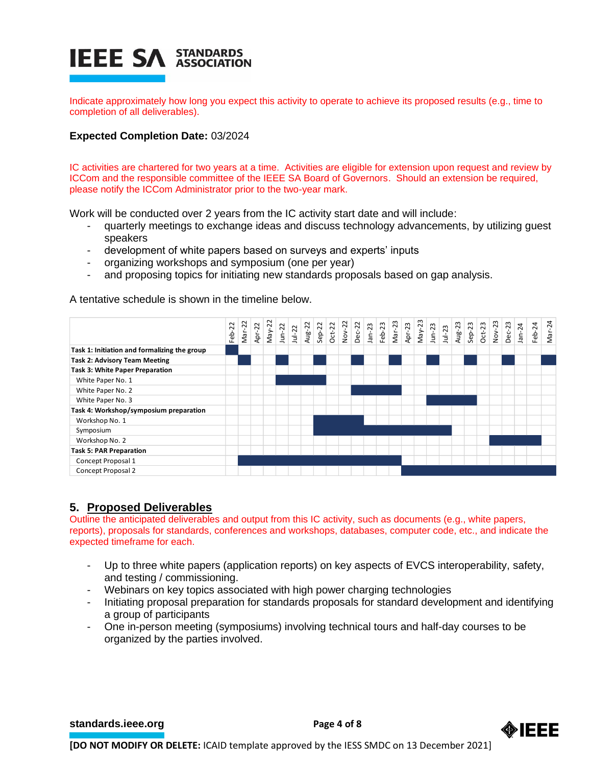# **IEEE SA STANDARDS**

Indicate approximately how long you expect this activity to operate to achieve its proposed results (e.g., time to completion of all deliverables).

# **Expected Completion Date:** 03/2024

IC activities are chartered for two years at a time. Activities are eligible for extension upon request and review by ICCom and the responsible committee of the IEEE SA Board of Governors. Should an extension be required, please notify the ICCom Administrator prior to the two-year mark.

Work will be conducted over 2 years from the IC activity start date and will include:

- quarterly meetings to exchange ideas and discuss technology advancements, by utilizing guest speakers
- development of white papers based on surveys and experts' inputs
- organizing workshops and symposium (one per year)
- and proposing topics for initiating new standards proposals based on gap analysis.

A tentative schedule is shown in the timeline below.

|                                                                                                                                                                                                                                                                                                                                                                                                | Feb-22 | $Mar-22$ | Apr-22 | $May-22$ | $J$ un- $22$ | $Jul-22$ | Aug-22 | $Sep-22$ | Oct-22<br>Nov-22 | $Dec-22$ | $Jan-23$ | $Feb-23$ | $Mar-23$ | Apr-23 | $May-23$ | $J$ un- $23$ | $Jul-23$ | Aug-23 | $Sep-23$ | $Oct-23$ | Nov-23 | Dec-23 | $Jan-24$ | $Feb-24$ | Mar-24 |
|------------------------------------------------------------------------------------------------------------------------------------------------------------------------------------------------------------------------------------------------------------------------------------------------------------------------------------------------------------------------------------------------|--------|----------|--------|----------|--------------|----------|--------|----------|------------------|----------|----------|----------|----------|--------|----------|--------------|----------|--------|----------|----------|--------|--------|----------|----------|--------|
| Task 1: Initiation and formalizing the group                                                                                                                                                                                                                                                                                                                                                   |        |          |        |          |              |          |        |          |                  |          |          |          |          |        |          |              |          |        |          |          |        |        |          |          |        |
| <b>Task 2: Advisory Team Meeting</b>                                                                                                                                                                                                                                                                                                                                                           |        |          |        |          |              |          |        |          |                  |          |          |          |          |        |          |              |          |        |          |          |        |        |          |          |        |
| Task 3: White Paper Preparation                                                                                                                                                                                                                                                                                                                                                                |        |          |        |          |              |          |        |          |                  |          |          |          |          |        |          |              |          |        |          |          |        |        |          |          |        |
| White Paper No. 1                                                                                                                                                                                                                                                                                                                                                                              |        |          |        |          |              |          |        |          |                  |          |          |          |          |        |          |              |          |        |          |          |        |        |          |          |        |
| White Paper No. 2                                                                                                                                                                                                                                                                                                                                                                              |        |          |        |          |              |          |        |          |                  |          |          |          |          |        |          |              |          |        |          |          |        |        |          |          |        |
| White Paper No. 3                                                                                                                                                                                                                                                                                                                                                                              |        |          |        |          |              |          |        |          |                  |          |          |          |          |        |          |              |          |        |          |          |        |        |          |          |        |
| Task 4: Workshop/symposium preparation                                                                                                                                                                                                                                                                                                                                                         |        |          |        |          |              |          |        |          |                  |          |          |          |          |        |          |              |          |        |          |          |        |        |          |          |        |
| Workshop No. 1                                                                                                                                                                                                                                                                                                                                                                                 |        |          |        |          |              |          |        |          |                  |          |          |          |          |        |          |              |          |        |          |          |        |        |          |          |        |
| Symposium                                                                                                                                                                                                                                                                                                                                                                                      |        |          |        |          |              |          |        |          |                  |          |          |          |          |        |          |              |          |        |          |          |        |        |          |          |        |
| Workshop No. 2                                                                                                                                                                                                                                                                                                                                                                                 |        |          |        |          |              |          |        |          |                  |          |          |          |          |        |          |              |          |        |          |          |        |        |          |          |        |
| <b>Task 5: PAR Preparation</b>                                                                                                                                                                                                                                                                                                                                                                 |        |          |        |          |              |          |        |          |                  |          |          |          |          |        |          |              |          |        |          |          |        |        |          |          |        |
| Concept Proposal 1                                                                                                                                                                                                                                                                                                                                                                             |        |          |        |          |              |          |        |          |                  |          |          |          |          |        |          |              |          |        |          |          |        |        |          |          |        |
| Concept Proposal 2                                                                                                                                                                                                                                                                                                                                                                             |        |          |        |          |              |          |        |          |                  |          |          |          |          |        |          |              |          |        |          |          |        |        |          |          |        |
| 5. Proposed Deliverables<br>Outline the anticipated deliverables and output from this IC activity, such as documents (e.g., white papers,<br>reports), proposals for standards, conferences and workshops, databases, computer code, etc., and indicate the<br>expected timeframe for each.<br>Up to three white papers (application reports) on key aspects of EVCS interoperability, safety, |        |          |        |          |              |          |        |          |                  |          |          |          |          |        |          |              |          |        |          |          |        |        |          |          |        |
| and testing / commissioning.<br>Webinars on key topics associated with high power charging technologies<br>-<br>Initiating proposal preparation for standards proposals for standard development and identifying<br>a group of participants<br>One in-person meeting (symposiums) involving technical tours and half-day courses to be                                                         |        |          |        |          |              |          |        |          |                  |          |          |          |          |        |          |              |          |        |          |          |        |        |          |          |        |
| organized by the parties involved.                                                                                                                                                                                                                                                                                                                                                             |        |          |        |          |              |          |        |          |                  |          |          |          |          |        |          |              |          |        |          |          |        |        |          |          |        |

# **5. Proposed Deliverables**

- Up to three white papers (application reports) on key aspects of EVCS interoperability, safety, and testing / commissioning.
- Webinars on key topics associated with high power charging technologies
- Initiating proposal preparation for standards proposals for standard development and identifying a group of participants
- One in-person meeting (symposiums) involving technical tours and half-day courses to be

**[standards.ieee.org](http://standards.ieee.org/) example 2 Page 4 of 8** 

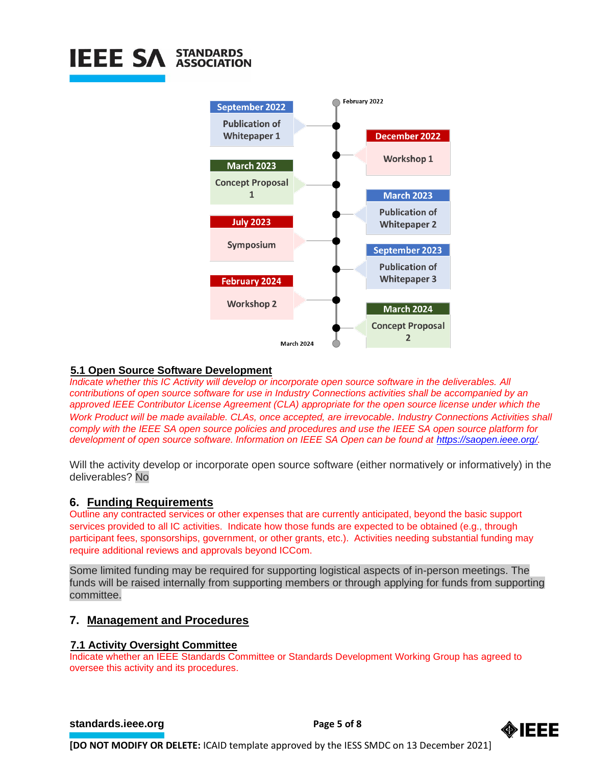

### **5.1 Open Source Software Development**

*Indicate whether this IC Activity will develop or incorporate open source software in the deliverables. All contributions of open source software for use in Industry Connections activities shall be accompanied by an approved IEEE Contributor License Agreement (CLA) appropriate for the open source license under which the Work Product will be made available. CLAs, once accepted, are irrevocable. Industry Connections Activities shall comply with the IEEE SA open source policies and procedures and use the IEEE SA open source platform for development of open source software. Information on IEEE SA Open can be found at [https://saopen.ieee.org/.](https://saopen.ieee.org/)* 

Will the activity develop or incorporate open source software (either normatively or informatively) in the deliverables? No

# **6. Funding Requirements**

Outline any contracted services or other expenses that are currently anticipated, beyond the basic support services provided to all IC activities. Indicate how those funds are expected to be obtained (e.g., through participant fees, sponsorships, government, or other grants, etc.). Activities needing substantial funding may require additional reviews and approvals beyond ICCom.

Some limited funding may be required for supporting logistical aspects of in-person meetings. The funds will be raised internally from supporting members or through applying for funds from supporting committee.

# **7. Management and Procedures**

### **7.1 Activity Oversight Committee**

Indicate whether an IEEE Standards Committee or Standards Development Working Group has agreed to oversee this activity and its procedures.

#### **[standards.ieee.org](http://standards.ieee.org/) EXECUTE: Page 5 of 8**

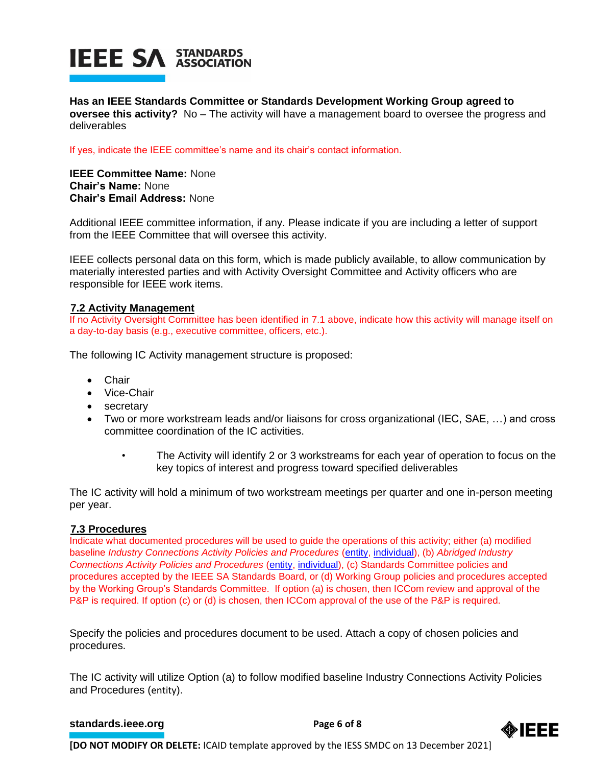# **IEEE SA STANDARDS**

**Has an IEEE Standards Committee or Standards Development Working Group agreed to oversee this activity?** No – The activity will have a management board to oversee the progress and deliverables

If yes, indicate the IEEE committee's name and its chair's contact information.

**IEEE Committee Name:** None **Chair's Name:** None **Chair's Email Address:** None

Additional IEEE committee information, if any. Please indicate if you are including a letter of support from the IEEE Committee that will oversee this activity.

IEEE collects personal data on this form, which is made publicly available, to allow communication by materially interested parties and with Activity Oversight Committee and Activity officers who are responsible for IEEE work items.

# **7.2 Activity Management**

If no Activity Oversight Committee has been identified in 7.1 above, indicate how this activity will manage itself on a day-to-day basis (e.g., executive committee, officers, etc.).

The following IC Activity management structure is proposed:

- Chair
- Vice-Chair
- secretary
- Two or more workstream leads and/or liaisons for cross organizational (IEC, SAE, …) and cross committee coordination of the IC activities.
	- The Activity will identify 2 or 3 workstreams for each year of operation to focus on the key topics of interest and progress toward specified deliverables

The IC activity will hold a minimum of two workstream meetings per quarter and one in-person meeting per year.

### **7.3 Procedures**

Indicate what documented procedures will be used to guide the operations of this activity; either (a) modified baseline *Industry Connections Activity Policies and Procedures* [\(entity,](https://standards.ieee.org/content/dam/ieee-standards/standards/web/governance/iccom/IC_Activity_PNP_Entity_Baseline.doc) [individual\)](https://standards.ieee.org/content/dam/ieee-standards/standards/web/governance/iccom/IC_Activity_PNP_Individual_Baseline.doc), (b) *Abridged Industry Connections Activity Policies and Procedures* [\(entity,](https://standards.ieee.org/content/dam/ieee-standards/standards/web/governance/iccom/IC_Activity_PP_Abridged_Entity.doc) [individual\)](https://standards.ieee.org/content/dam/ieee-standards/standards/web/governance/iccom/IC_Activity_PP_Abridged_Individual.doc), (c) Standards Committee policies and procedures accepted by the IEEE SA Standards Board, or (d) Working Group policies and procedures accepted by the Working Group's Standards Committee. If option (a) is chosen, then ICCom review and approval of the P&P is required. If option (c) or (d) is chosen, then ICCom approval of the use of the P&P is required.

Specify the policies and procedures document to be used. Attach a copy of chosen policies and procedures.

The IC activity will utilize Option (a) to follow modified baseline Industry Connections Activity Policies and Procedures ([entity](https://standards.ieee.org/content/dam/ieee-standards/standards/web/governance/iccom/IC_Activity_PNP_Entity_Baseline.doc)).

### **[standards.ieee.org](http://standards.ieee.org/)**<br> **Page 6** of 8

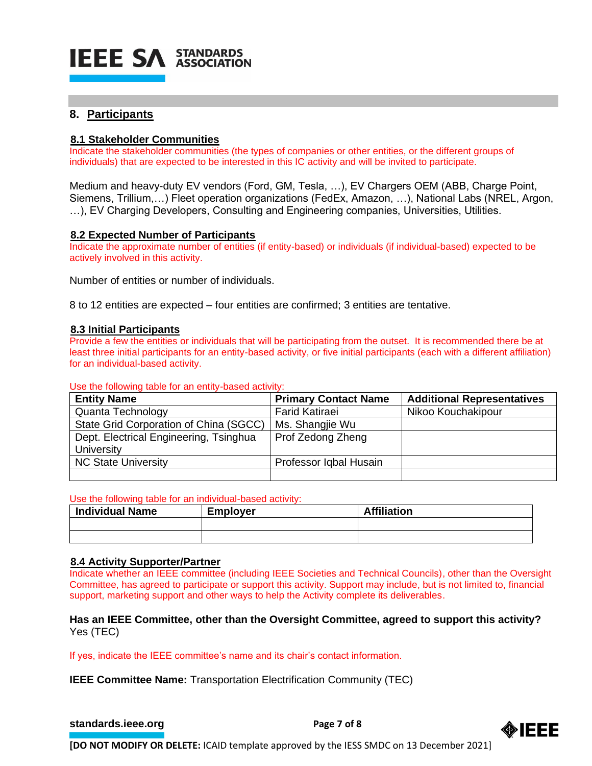

# **8. Participants**

# **8.1 Stakeholder Communities**

Indicate the stakeholder communities (the types of companies or other entities, or the different groups of individuals) that are expected to be interested in this IC activity and will be invited to participate.

Medium and heavy-duty EV vendors (Ford, GM, Tesla, …), EV Chargers OEM (ABB, Charge Point, Siemens, Trillium,…) Fleet operation organizations (FedEx, Amazon, …), National Labs (NREL, Argon, …), EV Charging Developers, Consulting and Engineering companies, Universities, Utilities.

### **8.2 Expected Number of Participants**

Indicate the approximate number of entities (if entity-based) or individuals (if individual-based) expected to be actively involved in this activity.

Number of entities or number of individuals.

8 to 12 entities are expected – four entities are confirmed; 3 entities are tentative.

#### **8.3 Initial Participants**

Provide a few the entities or individuals that will be participating from the outset. It is recommended there be at least three initial participants for an entity-based activity, or five initial participants (each with a different affiliation) for an individual-based activity.

#### Use the following table for an entity-based activity:

| <b>Entity Name</b>                     | <b>Primary Contact Name</b> | <b>Additional Representatives</b> |
|----------------------------------------|-----------------------------|-----------------------------------|
| Quanta Technology                      | <b>Farid Katiraei</b>       | Nikoo Kouchakipour                |
| State Grid Corporation of China (SGCC) | Ms. Shangjie Wu             |                                   |
| Dept. Electrical Engineering, Tsinghua | Prof Zedong Zheng           |                                   |
| University                             |                             |                                   |
| <b>NC State University</b>             | Professor Iqbal Husain      |                                   |
|                                        |                             |                                   |

#### Use the following table for an individual-based activity:

| <b>Individual Name</b> | <b>Employer</b> | <b>Affiliation</b> |
|------------------------|-----------------|--------------------|
|                        |                 |                    |
|                        |                 |                    |

#### **8.4 Activity Supporter/Partner**

Indicate whether an IEEE committee (including IEEE Societies and Technical Councils), other than the Oversight Committee, has agreed to participate or support this activity. Support may include, but is not limited to, financial support, marketing support and other ways to help the Activity complete its deliverables.

### **Has an IEEE Committee, other than the Oversight Committee, agreed to support this activity?** Yes (TEC)

If yes, indicate the IEEE committee's name and its chair's contact information.

**IEEE Committee Name:** Transportation Electrification Community (TEC)

```
standards.ieee.org<br>
Page 7 of 8
```